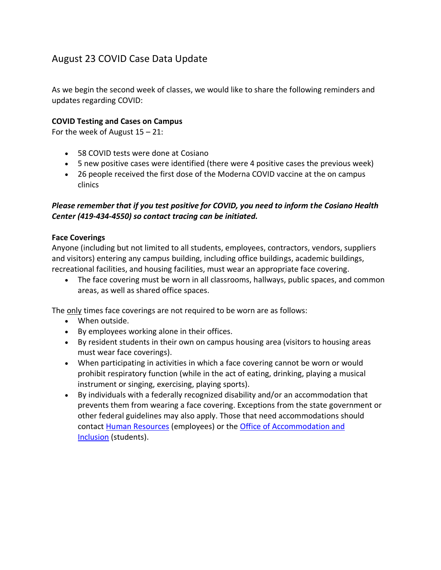# August 23 COVID Case Data Update

As we begin the second week of classes, we would like to share the following reminders and updates regarding COVID:

### **COVID Testing and Cases on Campus**

For the week of August  $15 - 21$ :

- 58 COVID tests were done at Cosiano
- 5 new positive cases were identified (there were 4 positive cases the previous week)
- 26 people received the first dose of the Moderna COVID vaccine at the on campus clinics

## *Please remember that if you test positive for COVID, you need to inform the Cosiano Health Center (419-434-4550) so contact tracing can be initiated.*

#### **Face Coverings**

Anyone (including but not limited to all students, employees, contractors, vendors, suppliers and visitors) entering any campus building, including office buildings, academic buildings, recreational facilities, and housing facilities, must wear an appropriate face covering.

• The face covering must be worn in all classrooms, hallways, public spaces, and common areas, as well as shared office spaces.

The only times face coverings are not required to be worn are as follows:

- When outside.
- By employees working alone in their offices.
- By resident students in their own on campus housing area (visitors to housing areas must wear face coverings).
- When participating in activities in which a face covering cannot be worn or would prohibit respiratory function (while in the act of eating, drinking, playing a musical instrument or singing, exercising, playing sports).
- By individuals with a federally recognized disability and/or an accommodation that prevents them from wearing a face covering. Exceptions from the state government or other federal guidelines may also apply. Those that need accommodations should contact [Human Resources](https://www.findlay.edu/offices/business-affairs/human-resources) (employees) or the [Office of Accommodation and](https://www.findlay.edu/offices/student-affairs/accommodation-and-inclusion)  [Inclusion](https://www.findlay.edu/offices/student-affairs/accommodation-and-inclusion) (students).